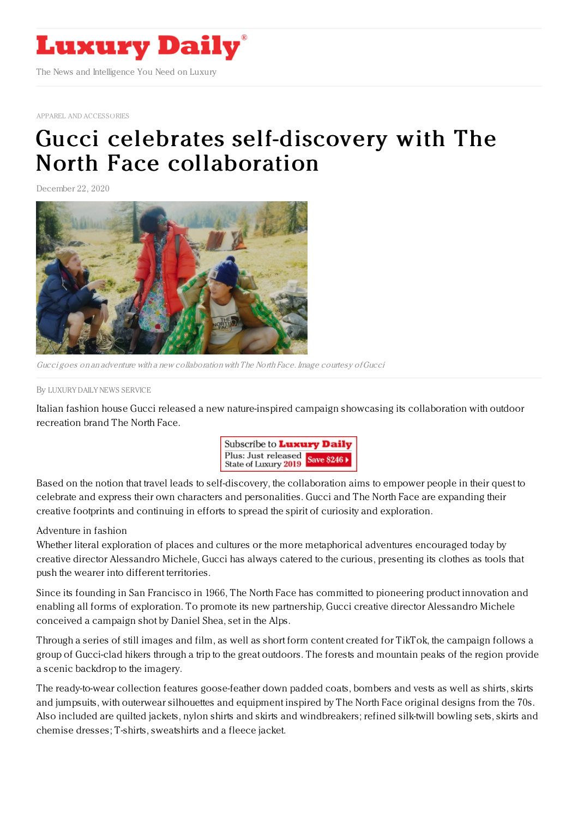

APPAREL AND [ACCESSORIES](https://www.luxurydaily.com/category/sectors/apparel-and-accessories/)

## Gucci celebrates [self-discovery](https://www.luxurydaily.com/gucci-the-north-face-collaboration/) with The North Face collaboration

December 22, 2020



Gucci goes on an adventure with <sup>a</sup> new collaboration with The North Face. Image courtesy ofGucci

By LUXURY DAILY NEWS [SERVICE](file:///author/luxury-daily-news-service)

Italian fashion house Gucci released a new nature-inspired campaign showcasing its collaboration with outdoor recreation brand The North Face.



Based on the notion that travel leads to self-discovery, the collaboration aims to empower people in their quest to celebrate and express their own characters and personalities. Gucci and The North Face are expanding their creative footprints and continuing in efforts to spread the spirit of curiosity and exploration.

## Adventure in fashion

Whether literal exploration of places and cultures or the more metaphorical adventures encouraged today by creative director Alessandro Michele, Gucci has always catered to the curious, presenting its clothes as tools that push the wearer into different territories.

Since its founding in San Francisco in 1966, The North Face has committed to pioneering product innovation and enabling all forms of exploration. To promote its new partnership, Gucci creative director Alessandro Michele conceived a campaign shot by Daniel Shea, set in the Alps.

Through a series of still images and film, as well as short form content created for TikTok, the campaign follows a group of Gucci-clad hikers through a trip to the great outdoors. The forests and mountain peaks of the region provide a scenic backdrop to the imagery.

The ready-to-wear collection features goose-feather down padded coats, bombers and vests as well as shirts, skirts and jumpsuits, with outerwear silhouettes and equipment inspired by The North Face original designs from the 70s. Also included are quilted jackets, nylon shirts and skirts and windbreakers; refined silk-twill bowling sets, skirts and chemise dresses; T-shirts, sweatshirts and a fleece jacket.